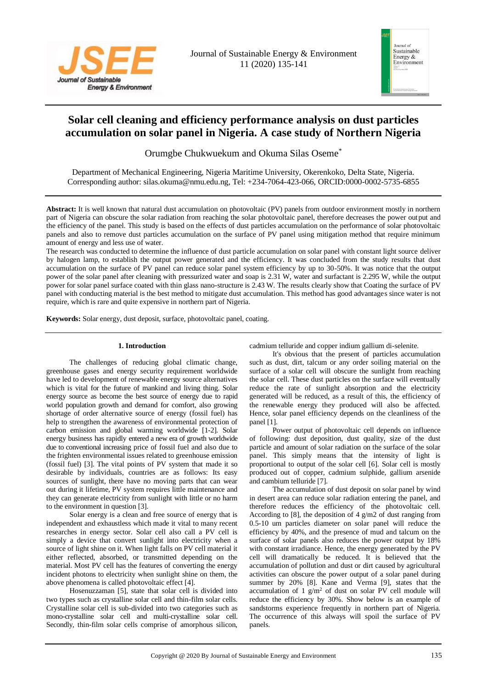



# **Solar cell cleaning and efficiency performance analysis on dust particles accumulation on solar panel in Nigeria. A case study of Northern Nigeria**

Orumgbe Chukwuekum and Okuma Silas Oseme\*

Department of Mechanical Engineering, Nigeria Maritime University, Okerenkoko, Delta State, Nigeria. Corresponding author: silas.okuma@nmu.edu.ng, Tel: +234-7064-423-066, ORCID:0000-0002-5735-6855

**Abstract:** It is well known that natural dust accumulation on photovoltaic (PV) panels from outdoor environment mostly in northern part of Nigeria can obscure the solar radiation from reaching the solar photovoltaic panel, therefore decreases the power output and the efficiency of the panel. This study is based on the effects of dust particles accumulation on the performance of solar photovoltaic panels and also to remove dust particles accumulation on the surface of PV panel using mitigation method that require minimum amount of energy and less use of water.

The research was conducted to determine the influence of dust particle accumulation on solar panel with constant light source deliver by halogen lamp, to establish the output power generated and the efficiency. It was concluded from the study results that dust accumulation on the surface of PV panel can reduce solar panel system efficiency by up to 30-50%. It was notice that the output power of the solar panel after cleaning with pressurized water and soap is 2.31 W, water and surfactant is 2.295 W, while the output power for solar panel surface coated with thin glass nano-structure is 2.43 W. The results clearly show that Coating the surface of PV panel with conducting material is the best method to mitigate dust accumulation. This method has good advantages since water is not require, which is rare and quite expensive in northern part of Nigeria.

**Keywords:** Solar energy, dust deposit, surface, photovoltaic panel, coating.

## **1. Introduction**

The challenges of reducing global climatic change, greenhouse gases and energy security requirement worldwide have led to development of renewable energy source alternatives which is vital for the future of mankind and living thing. Solar energy source as become the best source of energy due to rapid world population growth and demand for comfort, also growing shortage of order alternative source of energy (fossil fuel) has help to strengthen the awareness of environmental protection of carbon emission and global warming worldwide [1-2]. Solar energy business has rapidly entered a new era of growth worldwide due to conventional increasing price of fossil fuel and also due to the frighten environmental issues related to greenhouse emission (fossil fuel) [3]. The vital points of PV system that made it so desirable by individuals, countries are as follows: Its easy sources of sunlight, there have no moving parts that can wear out during it lifetime, PV system requires little maintenance and they can generate electricity from sunlight with little or no harm to the environment in question [3].

Solar energy is a clean and free source of energy that is independent and exhaustless which made it vital to many recent researches in energy sector. Solar cell also call a PV cell is simply a device that convert sunlight into electricity when a source of light shine on it. When light falls on PV cell material it either reflected, absorbed, or transmitted depending on the material. Most PV cell has the features of converting the energy incident photons to electricity when sunlight shine on them, the above phenomena is called photovoltaic effect [4].

Hosenuzzaman [5], state that solar cell is divided into two types such as crystalline solar cell and thin-film solar cells. Crystalline solar cell is sub-divided into two categories such as mono-crystalline solar cell and multi-crystalline solar cell. Secondly, thin-film solar cells comprise of amorphous silicon, cadmium telluride and copper indium gallium di-selenite.

It's obvious that the present of particles accumulation such as dust, dirt, talcum or any order soiling material on the surface of a solar cell will obscure the sunlight from reaching the solar cell. These dust particles on the surface will eventually reduce the rate of sunlight absorption and the electricity generated will be reduced, as a result of this, the efficiency of the renewable energy they produced will also be affected. Hence, solar panel efficiency depends on the cleanliness of the panel [1].

Power output of photovoltaic cell depends on influence of following: dust deposition, dust quality, size of the dust particle and amount of solar radiation on the surface of the solar panel. This simply means that the intensity of light is proportional to output of the solar cell [6]. Solar cell is mostly produced out of copper, cadmium sulphide, gallium arsenide and cambium telluride [7].

The accumulation of dust deposit on solar panel by wind in desert area can reduce solar radiation entering the panel, and therefore reduces the efficiency of the photovoltaic cell. According to [8], the deposition of  $4 \frac{\text{g}}{\text{m2}}$  of dust ranging from 0.5-10 um particles diameter on solar panel will reduce the efficiency by 40%, and the presence of mud and talcum on the surface of solar panels also reduces the power output by 18% with constant irradiance. Hence, the energy generated by the PV cell will dramatically be reduced. It is believed that the accumulation of pollution and dust or dirt caused by agricultural activities can obscure the power output of a solar panel during summer by 20% [8]. Kane and Verma [9], states that the accumulation of  $1 \text{ g/m}^2$  of dust on solar PV cell module will reduce the efficiency by 30%. Show below is an example of sandstorms experience frequently in northern part of Nigeria. The occurrence of this always will spoil the surface of PV panels.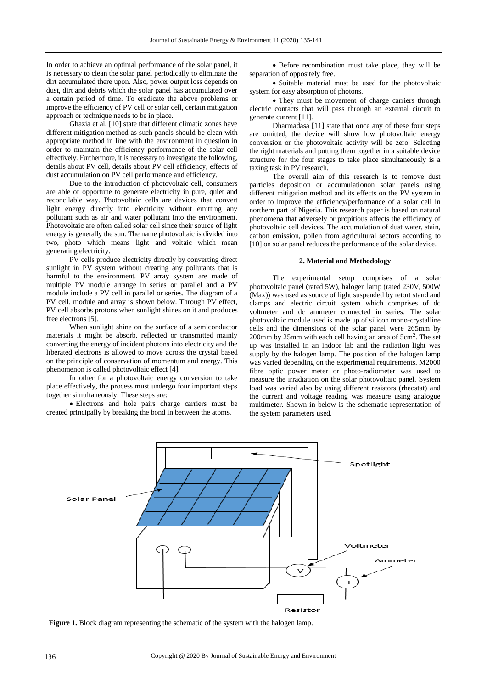In order to achieve an optimal performance of the solar panel, it is necessary to clean the solar panel periodically to eliminate the dirt accumulated there upon. Also, power output loss depends on dust, dirt and debris which the solar panel has accumulated over a certain period of time. To eradicate the above problems or improve the efficiency of PV cell or solar cell, certain mitigation approach or technique needs to be in place.

Ghazia et al. [10] state that different climatic zones have different mitigation method as such panels should be clean with appropriate method in line with the environment in question in order to maintain the efficiency performance of the solar cell effectively. Furthermore, it is necessary to investigate the following, details about PV cell, details about PV cell efficiency, effects of dust accumulation on PV cell performance and efficiency.

Due to the introduction of photovoltaic cell, consumers are able or opportune to generate electricity in pure, quiet and reconcilable way. Photovoltaic cells are devices that convert light energy directly into electricity without emitting any pollutant such as air and water pollutant into the environment. Photovoltaic are often called solar cell since their source of light energy is generally the sun. The name photovoltaic is divided into two, photo which means light and voltaic which mean generating electricity.

PV cells produce electricity directly by converting direct sunlight in PV system without creating any pollutants that is harmful to the environment. PV array system are made of multiple PV module arrange in series or parallel and a PV module include a PV cell in parallel or series. The diagram of a PV cell, module and array is shown below. Through PV effect, PV cell absorbs protons when sunlight shines on it and produces free electrons [5].

When sunlight shine on the surface of a semiconductor materials it might be absorb, reflected or transmitted mainly converting the energy of incident photons into electricity and the liberated electrons is allowed to move across the crystal based on the principle of conservation of momentum and energy. This phenomenon is called photovoltaic effect [4].

In other for a photovoltaic energy conversion to take place effectively, the process must undergo four important steps together simultaneously. These steps are:

• Electrons and hole pairs charge carriers must be created principally by breaking the bond in between the atoms.

• Before recombination must take place, they will be separation of oppositely free.

• Suitable material must be used for the photovoltaic system for easy absorption of photons.

• They must be movement of charge carriers through electric contacts that will pass through an external circuit to generate current [11].

Dharmadasa [11] state that once any of these four steps are omitted, the device will show low photovoltaic energy conversion or the photovoltaic activity will be zero. Selecting the right materials and putting them together in a suitable device structure for the four stages to take place simultaneously is a taxing task in PV research.

The overall aim of this research is to remove dust particles deposition or accumulationon solar panels using different mitigation method and its effects on the PV system in order to improve the efficiency/performance of a solar cell in northern part of Nigeria. This research paper is based on natural phenomena that adversely or propitious affects the efficiency of photovoltaic cell devices. The accumulation of dust water, stain, carbon emission, pollen from agricultural sectors according to [10] on solar panel reduces the performance of the solar device.

### **2. Material and Methodology**

The experimental setup comprises of a solar photovoltaic panel (rated 5W), halogen lamp (rated 230V, 500W (Max)) was used as source of light suspended by retort stand and clamps and electric circuit system which comprises of dc voltmeter and dc ammeter connected in series. The solar photovoltaic module used is made up of silicon mono-crystalline cells and the dimensions of the solar panel were 265mm by 200mm by 25mm with each cell having an area of 5cm<sup>2</sup> . The set up was installed in an indoor lab and the radiation light was supply by the halogen lamp. The position of the halogen lamp was varied depending on the experimental requirements. M2000 fibre optic power meter or photo-radiometer was used to measure the irradiation on the solar photovoltaic panel. System load was varied also by using different resistors (rheostat) and the current and voltage reading was measure using analogue multimeter. Shown in below is the schematic representation of the system parameters used.



**Figure 1.** Block diagram representing the schematic of the system with the halogen lamp.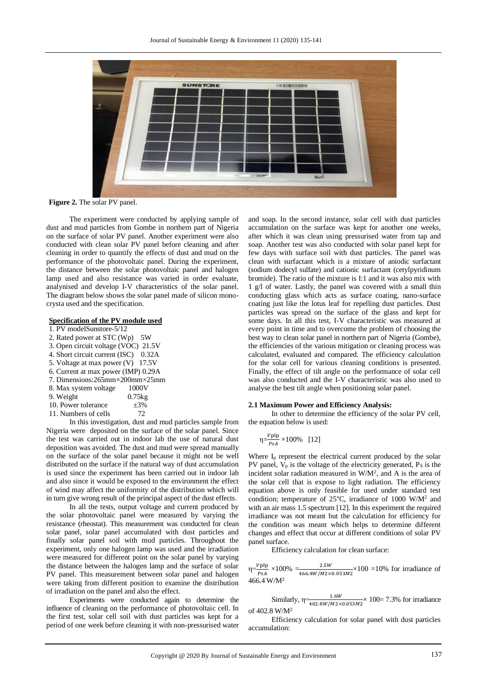

**Figure 2.** The solar PV panel.

The experiment were conducted by applying sample of dust and mud particles from Gombe in northern part of Nigeria on the surface of solar PV panel. Another experiment were also conducted with clean solar PV panel before cleaning and after cleaning in order to quantify the effects of dust and mud on the performance of the photovoltaic panel. During the experiment, the distance between the solar photovoltaic panel and halogen lamp used and also resistance was varied in order evaluate, analynised and develop I-V characteristics of the solar panel. The diagram below shows the solar panel made of silicon monocrysta used and the specification.

## **Specification of the PV module used**

- 1. PV modelSunstore-5/12
- 2. Rated power at STC (Wp) 5W
- 3. Open circuit voltage (VOC) 21.5V
- 4. Short circuit current (ISC) 0.32A
- 5. Voltage at max power (V) 17.5V
- 6. Current at max power (IMP) 0.29A
- 7. Dimensions:265mm×200mm×25mm
- 8. Max system voltage 1000V
- 
- 9. Weight  $0.75\text{kg}$ <br>10. Power tolerance  $+3\%$ 10. Power tolerance
- 11. Numbers of cells 72

In this investigation, dust and mud particles sample from Nigeria were deposited on the surface of the solar panel. Since the test was carried out in indoor lab the use of natural dust deposition was avoided. The dust and mud were spread manually on the surface of the solar panel because it might not be well distributed on the surface if the natural way of dust accumulation is used since the experiment has been carried out in indoor lab and also since it would be exposed to the environment the effect of wind may affect the uniformity of the distribution which will in turn give wrong result of the principal aspect of the dust effects.

In all the tests, output voltage and current produced by the solar photovoltaic panel were measured by varying the resistance (rheostat). This measurement was conducted for clean solar panel, solar panel accumulated with dust particles and finally solar panel soil with mud particles. Throughout the experiment, only one halogen lamp was used and the irradiation were measured for different point on the solar panel by varying the distance between the halogen lamp and the surface of solar PV panel. This measurement between solar panel and halogen were taking from different position to examine the distribution of irradiation on the panel and also the effect.

Experiments were conducted again to determine the influence of cleaning on the performance of photovoltaic cell. In the first test, solar cell soil with dust particles was kept for a period of one week before cleaning it with non-pressurised water

and soap. In the second instance, solar cell with dust particles accumulation on the surface was kept for another one weeks, after which it was clean using pressurised water from tap and soap. Another test was also conducted with solar panel kept for few days with surface soil with dust particles. The panel was clean with surfactant which is a mixture of aniodic surfactant (sodium dodecyl sulfate) and cationic surfactant (cetylpyridinum bromide). The ratio of the mixture is I:1 and it was also mix with 1 g/l of water. Lastly, the panel was covered with a small thin conducting glass which acts as surface coating, nano-surface coating just like the lotus leaf for repelling dust particles. Dust particles was spread on the surface of the glass and kept for some days. In all this test, I-V characteristic was measured at every point in time and to overcome the problem of choosing the best way to clean solar panel in northern part of Nigeria (Gombe), the efficiencies of the various mitigation or cleaning process was calculated, evaluated and compared. The efficiency calculation for the solar cell for various cleaning conditions is presented. Finally, the effect of tilt angle on the performance of solar cell was also conducted and the I-V characteristic was also used to analyse the best tilt angle when positioning solar panel.

#### **2.1 Maximum Power and Efficiency Analysis:**

In other to determine the efficiency of the solar PV cell, the equation below is used:

$$
\eta\text{=}\frac{\text{Vplp}}{\text{PsA}}\times100\%\quad[12]
$$

Where I<sub>p</sub> represent the electrical current produced by the solar PV panel,  $V_p$  is the voltage of the electricity generated,  $P_S$  is the incident solar radiation measured in  $W/M^2$ , and A is the area of the solar cell that is expose to light radiation. The efficiency equation above is only feasible for used under standard test condition; temperature of 25°C, irradiance of 1000 W/M<sup>2</sup> and with an air mass 1.5 spectrum [12]. In this experiment the required irradiance was not meant but the calculation for efficiency for the condition was meant which helps to determine different changes and effect that occur at different conditions of solar PV panel surface.

Efficiency calculation for clean surface:

 $\eta = \frac{VpIp}{R}$  $\frac{\text{Vplp}}{\text{PsA}} \times 100\% = \frac{2.5W}{466.4W/M2 \times 0.053M2} \times 100 = 10\%$  for irradiance of 466.4 W/M<sup>2</sup>

Similarly,  $\eta = \frac{1.6W}{402.8W/M2 \times 0.053M2} \times 100 = 7.3\%$  for irradiance of 402.8 W/M<sup>2</sup>

Efficiency calculation for solar panel with dust particles accumulation: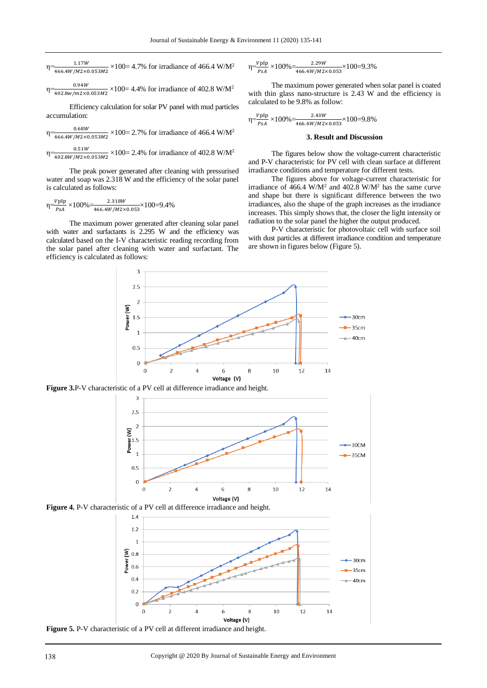$n = \frac{1.17W}{1.174}$  $\frac{1.17W}{466.4W/M2 \times 0.053M2}$  × 100= 4.7% for irradiance of 466.4 W/M<sup>2</sup>

 $\eta = \frac{0.94W}{100.0}$  $\frac{0.94W}{402.8W/m2 \times 0.053M2} \times 100 = 4.4\%$  for irradiance of 402.8 W/M<sup>2</sup>

Efficiency calculation for solar PV panel with mud particles accumulation:

η=  $0.68W$  $466.4W/M2\times0.053M2$  $\times$ 100= 2.7% for irradiance of 466.4 W/M<sup>2</sup>

$$
\eta = \frac{0.51W}{402.8W/M^2 \times 0.053M^2} \times 100 = 2.4\%
$$
 for irradiance of 402.8 W/M<sup>2</sup>

The peak power generated after cleaning with pressurised water and soap was 2.318 W and the efficiency of the solar panel is calculated as follows:

$$
\eta = \frac{Vplp}{PsA} \times 100\% = \frac{2.318W}{466.4W/M2 \times 0.053} \times 100 = 9.4\%
$$

The maximum power generated after cleaning solar panel with water and surfactants is 2.295 W and the efficiency was calculated based on the I-V characteristic reading recording from the solar panel after cleaning with water and surfactant. The efficiency is calculated as follows:

$$
\eta \!\!=\!\!\! \frac{\text{vplp}}{\text{psa}} \!\times\! 100\%\!=\!\!\! \frac{\text{2.29W}}{\text{466.4W/M2} \!\times\! 0.053} \!\times\! 100\!\!=\!\! 9.3\%
$$

The maximum power generated when solar panel is coated with thin glass nano-structure is 2.43 W and the efficiency is calculated to be 9.8% as follow:

$$
\eta = \frac{Vplp}{PsA} \times 100\% = \frac{2.43W}{466.4W/M2 \times 0.053} \times 100 = 9.8\%
$$

## **3. Result and Discussion**

The figures below show the voltage-current characteristic and P-V characteristic for PV cell with clean surface at different irradiance conditions and temperature for different tests.

The figures above for voltage-current characteristic for irradiance of 466.4 W/M<sup>2</sup> and 402.8 W/M<sup>2</sup> has the same curve and shape but there is significant difference between the two irradiances, also the shape of the graph increases as the irradiance increases. This simply shows that, the closer the light intensity or radiation to the solar panel the higher the output produced.

P-V characteristic for photovoltaic cell with surface soil with dust particles at different irradiance condition and temperature are shown in figures below (Figure 5).



**Figure 3.**P-V characteristic of a PV cell at difference irradiance and height.



Figure 4. P-V characteristic of a PV cell at difference irradiance and height.



Figure 5. P-V characteristic of a PV cell at different irradiance and height.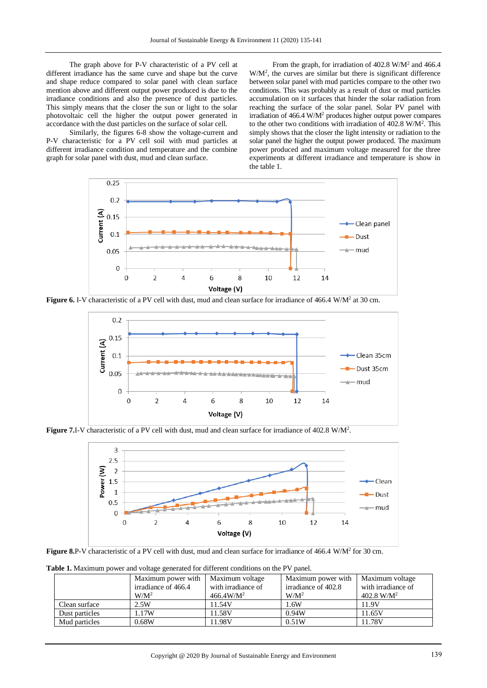The graph above for P-V characteristic of a PV cell at different irradiance has the same curve and shape but the curve and shape reduce compared to solar panel with clean surface mention above and different output power produced is due to the irradiance conditions and also the presence of dust particles. This simply means that the closer the sun or light to the solar photovoltaic cell the higher the output power generated in accordance with the dust particles on the surface of solar cell.

Similarly, the figures 6-8 show the voltage-current and P-V characteristic for a PV cell soil with mud particles at different irradiance condition and temperature and the combine graph for solar panel with dust, mud and clean surface.

From the graph, for irradiation of  $402.8$  W/M<sup>2</sup> and  $466.4$ W/M<sup>2</sup> , the curves are similar but there is significant difference between solar panel with mud particles compare to the other two conditions. This was probably as a result of dust or mud particles accumulation on it surfaces that hinder the solar radiation from reaching the surface of the solar panel. Solar PV panel with irradiation of 466.4 W/M<sup>2</sup> produces higher output power compares to the other two conditions with irradiation of 402.8 W/M<sup>2</sup>. This simply shows that the closer the light intensity or radiation to the solar panel the higher the output power produced. The maximum power produced and maximum voltage measured for the three experiments at different irradiance and temperature is show in the table 1.



Figure 6. I-V characteristic of a PV cell with dust, mud and clean surface for irradiance of 466.4 W/M<sup>2</sup> at 30 cm.



Figure 7.I-V characteristic of a PV cell with dust, mud and clean surface for irradiance of 402.8 W/M<sup>2</sup>.



Figure 8.P-V characteristic of a PV cell with dust, mud and clean surface for irradiance of 466.4 W/M<sup>2</sup> for 30 cm.

**Table 1.** Maximum power and voltage generated for different conditions on the PV panel.

|                | Maximum power with  | Maximum voltage        | Maximum power with  | Maximum voltage       |
|----------------|---------------------|------------------------|---------------------|-----------------------|
|                | irradiance of 466.4 | with irradiance of     | irradiance of 402.8 | with irradiance of    |
|                | $W/M^2$             | 466.4 W/M <sup>2</sup> | $W/M^2$             | $402.8 \text{ W/M}^2$ |
| Clean surface  | 2.5W                | 11.54V                 | 1.6W                | 11.9V                 |
| Dust particles | 1.17W               | 11.58V                 | 0.94W               | 11.65V                |
| Mud particles  | 0.68W               | 11.98V                 | 0.51W               | 11.78V                |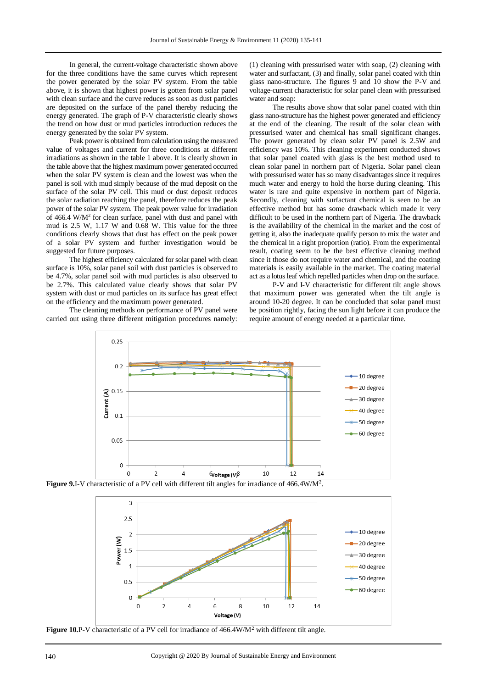In general, the current-voltage characteristic shown above for the three conditions have the same curves which represent the power generated by the solar PV system. From the table above, it is shown that highest power is gotten from solar panel with clean surface and the curve reduces as soon as dust particles are deposited on the surface of the panel thereby reducing the energy generated. The graph of P-V characteristic clearly shows the trend on how dust or mud particles introduction reduces the energy generated by the solar PV system.

Peak power is obtained from calculation using the measured value of voltages and current for three conditions at different irradiations as shown in the table 1 above. It is clearly shown in the table above that the highest maximum power generated occurred when the solar PV system is clean and the lowest was when the panel is soil with mud simply because of the mud deposit on the surface of the solar PV cell. This mud or dust deposit reduces the solar radiation reaching the panel, therefore reduces the peak power of the solar PV system. The peak power value for irradiation of 466.4 W/M<sup>2</sup> for clean surface, panel with dust and panel with mud is 2.5 W, 1.17 W and 0.68 W. This value for the three conditions clearly shows that dust has effect on the peak power of a solar PV system and further investigation would be suggested for future purposes.

The highest efficiency calculated for solar panel with clean surface is 10%, solar panel soil with dust particles is observed to be 4.7%, solar panel soil with mud particles is also observed to be 2.7%. This calculated value clearly shows that solar PV system with dust or mud particles on its surface has great effect on the efficiency and the maximum power generated.

The cleaning methods on performance of PV panel were carried out using three different mitigation procedures namely: (1) cleaning with pressurised water with soap, (2) cleaning with water and surfactant, (3) and finally, solar panel coated with thin glass nano-structure. The figures 9 and 10 show the P-V and voltage-current characteristic for solar panel clean with pressurised water and soap:

The results above show that solar panel coated with thin glass nano-structure has the highest power generated and efficiency at the end of the cleaning. The result of the solar clean with pressurised water and chemical has small significant changes. The power generated by clean solar PV panel is 2.5W and efficiency was 10%. This cleaning experiment conducted shows that solar panel coated with glass is the best method used to clean solar panel in northern part of Nigeria. Solar panel clean with pressurised water has so many disadvantages since it requires much water and energy to hold the horse during cleaning. This water is rare and quite expensive in northern part of Nigeria. Secondly, cleaning with surfactant chemical is seen to be an effective method but has some drawback which made it very difficult to be used in the northern part of Nigeria. The drawback is the availability of the chemical in the market and the cost of getting it, also the inadequate qualify person to mix the water and the chemical in a right proportion (ratio). From the experimental result, coating seem to be the best effective cleaning method since it those do not require water and chemical, and the coating materials is easily available in the market. The coating material act as a lotus leaf which repelled particles when drop on the surface.

P-V and I-V characteristic for different tilt angle shows that maximum power was generated when the tilt angle is around 10-20 degree. It can be concluded that solar panel must be position rightly, facing the sun light before it can produce the require amount of energy needed at a particular time.



Figure 9.I-V characteristic of a PV cell with different tilt angles for irradiance of 466.4W/M<sup>2</sup>.



Figure 10.P-V characteristic of a PV cell for irradiance of 466.4W/M<sup>2</sup> with different tilt angle.